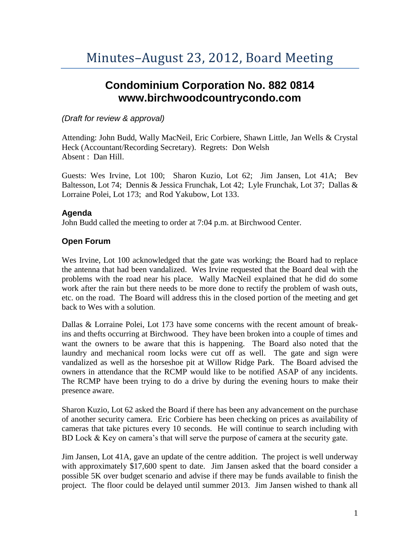# **Condominium Corporation No. 882 0814 www.birchwoodcountrycondo.com**

### *(Draft for review & approval)*

Attending: John Budd, Wally MacNeil, Eric Corbiere, Shawn Little, Jan Wells & Crystal Heck (Accountant/Recording Secretary). Regrets: Don Welsh Absent : Dan Hill.

Guests: Wes Irvine, Lot 100; Sharon Kuzio, Lot 62; Jim Jansen, Lot 41A; Bev Baltesson, Lot 74; Dennis & Jessica Frunchak, Lot 42; Lyle Frunchak, Lot 37; Dallas & Lorraine Polei, Lot 173; and Rod Yakubow, Lot 133.

## **Agenda**

John Budd called the meeting to order at 7:04 p.m. at Birchwood Center.

# **Open Forum**

Wes Irvine, Lot 100 acknowledged that the gate was working; the Board had to replace the antenna that had been vandalized. Wes Irvine requested that the Board deal with the problems with the road near his place. Wally MacNeil explained that he did do some work after the rain but there needs to be more done to rectify the problem of wash outs, etc. on the road. The Board will address this in the closed portion of the meeting and get back to Wes with a solution.

Dallas & Lorraine Polei, Lot 173 have some concerns with the recent amount of breakins and thefts occurring at Birchwood. They have been broken into a couple of times and want the owners to be aware that this is happening. The Board also noted that the laundry and mechanical room locks were cut off as well. The gate and sign were vandalized as well as the horseshoe pit at Willow Ridge Park. The Board advised the owners in attendance that the RCMP would like to be notified ASAP of any incidents. The RCMP have been trying to do a drive by during the evening hours to make their presence aware.

Sharon Kuzio, Lot 62 asked the Board if there has been any advancement on the purchase of another security camera. Eric Corbiere has been checking on prices as availability of cameras that take pictures every 10 seconds. He will continue to search including with BD Lock & Key on camera's that will serve the purpose of camera at the security gate.

Jim Jansen, Lot 41A, gave an update of the centre addition. The project is well underway with approximately \$17,600 spent to date. Jim Jansen asked that the board consider a possible 5K over budget scenario and advise if there may be funds available to finish the project. The floor could be delayed until summer 2013. Jim Jansen wished to thank all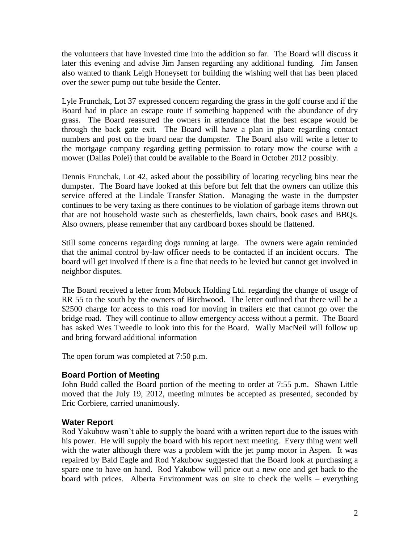the volunteers that have invested time into the addition so far. The Board will discuss it later this evening and advise Jim Jansen regarding any additional funding. Jim Jansen also wanted to thank Leigh Honeysett for building the wishing well that has been placed over the sewer pump out tube beside the Center.

Lyle Frunchak, Lot 37 expressed concern regarding the grass in the golf course and if the Board had in place an escape route if something happened with the abundance of dry grass. The Board reassured the owners in attendance that the best escape would be through the back gate exit. The Board will have a plan in place regarding contact numbers and post on the board near the dumpster. The Board also will write a letter to the mortgage company regarding getting permission to rotary mow the course with a mower (Dallas Polei) that could be available to the Board in October 2012 possibly.

Dennis Frunchak, Lot 42, asked about the possibility of locating recycling bins near the dumpster. The Board have looked at this before but felt that the owners can utilize this service offered at the Lindale Transfer Station. Managing the waste in the dumpster continues to be very taxing as there continues to be violation of garbage items thrown out that are not household waste such as chesterfields, lawn chairs, book cases and BBQs. Also owners, please remember that any cardboard boxes should be flattened.

Still some concerns regarding dogs running at large. The owners were again reminded that the animal control by-law officer needs to be contacted if an incident occurs. The board will get involved if there is a fine that needs to be levied but cannot get involved in neighbor disputes.

The Board received a letter from Mobuck Holding Ltd. regarding the change of usage of RR 55 to the south by the owners of Birchwood. The letter outlined that there will be a \$2500 charge for access to this road for moving in trailers etc that cannot go over the bridge road. They will continue to allow emergency access without a permit. The Board has asked Wes Tweedle to look into this for the Board. Wally MacNeil will follow up and bring forward additional information

The open forum was completed at 7:50 p.m.

#### **Board Portion of Meeting**

John Budd called the Board portion of the meeting to order at 7:55 p.m. Shawn Little moved that the July 19, 2012, meeting minutes be accepted as presented, seconded by Eric Corbiere, carried unanimously.

#### **Water Report**

Rod Yakubow wasn't able to supply the board with a written report due to the issues with his power. He will supply the board with his report next meeting. Every thing went well with the water although there was a problem with the jet pump motor in Aspen. It was repaired by Bald Eagle and Rod Yakubow suggested that the Board look at purchasing a spare one to have on hand. Rod Yakubow will price out a new one and get back to the board with prices. Alberta Environment was on site to check the wells – everything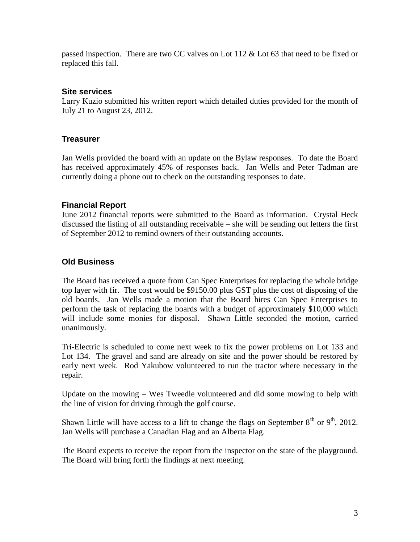passed inspection. There are two CC valves on Lot  $112 \&$  Lot 63 that need to be fixed or replaced this fall.

#### **Site services**

Larry Kuzio submitted his written report which detailed duties provided for the month of July 21 to August 23, 2012.

#### **Treasurer**

Jan Wells provided the board with an update on the Bylaw responses. To date the Board has received approximately 45% of responses back. Jan Wells and Peter Tadman are currently doing a phone out to check on the outstanding responses to date.

#### **Financial Report**

June 2012 financial reports were submitted to the Board as information. Crystal Heck discussed the listing of all outstanding receivable – she will be sending out letters the first of September 2012 to remind owners of their outstanding accounts.

#### **Old Business**

The Board has received a quote from Can Spec Enterprises for replacing the whole bridge top layer with fir. The cost would be \$9150.00 plus GST plus the cost of disposing of the old boards. Jan Wells made a motion that the Board hires Can Spec Enterprises to perform the task of replacing the boards with a budget of approximately \$10,000 which will include some monies for disposal. Shawn Little seconded the motion, carried unanimously.

Tri-Electric is scheduled to come next week to fix the power problems on Lot 133 and Lot 134. The gravel and sand are already on site and the power should be restored by early next week. Rod Yakubow volunteered to run the tractor where necessary in the repair.

Update on the mowing – Wes Tweedle volunteered and did some mowing to help with the line of vision for driving through the golf course.

Shawn Little will have access to a lift to change the flags on September  $8<sup>th</sup>$  or  $9<sup>th</sup>$ , 2012. Jan Wells will purchase a Canadian Flag and an Alberta Flag.

The Board expects to receive the report from the inspector on the state of the playground. The Board will bring forth the findings at next meeting.